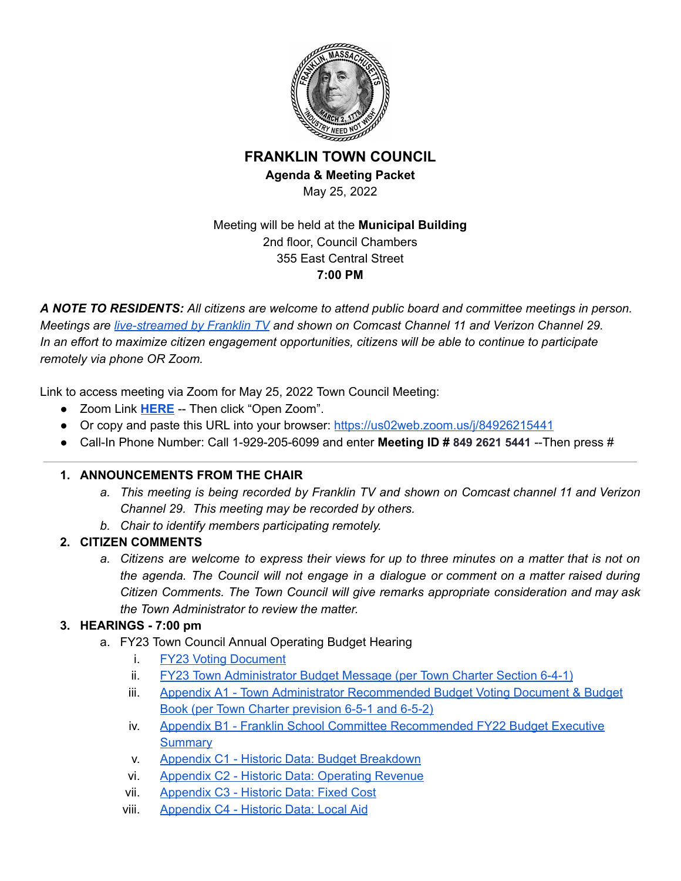

### **FRANKLIN TOWN COUNCIL Agenda & Meeting Packet**

May 25, 2022

### Meeting will be held at the **Municipal Building** 2nd floor, Council Chambers 355 East Central Street **7:00 PM**

*A NOTE TO RESIDENTS: All citizens are welcome to attend public board and committee meetings in person. Meetings are [live-streamed](https://www.franklinma.gov/home/pages/live-meetings-stream) by Franklin TV and shown on Comcast Channel 11 and Verizon Channel 29. In an effort to maximize citizen engagement opportunities, citizens will be able to continue to participate remotely via phone OR Zoom.*

Link to access meeting via Zoom for May 25, 2022 Town Council Meeting:

- Zoom Link **[HERE](https://us02web.zoom.us/j/84926215441)** -- Then click "Open Zoom".
- Or copy and paste this URL into your browser: <https://us02web.zoom.us/j/84926215441>
- Call-In Phone Number: Call 1-929-205-6099 and enter **Meeting ID # 849 2621 5441** --Then press #

## **1. ANNOUNCEMENTS FROM THE CHAIR**

- *a. This meeting is being recorded by Franklin TV and shown on Comcast channel 11 and Verizon Channel 29. This meeting may be recorded by others.*
- *b. Chair to identify members participating remotely.*

# **2. CITIZEN COMMENTS**

a. Citizens are welcome to express their views for up to three minutes on a matter that is not on *the agenda. The Council will not engage in a dialogue or comment on a matter raised during Citizen Comments. The Town Council will give remarks appropriate consideration and may ask the Town Administrator to review the matter.*

# **3. HEARINGS - 7:00 pm**

- a. FY23 Town Council Annual Operating Budget Hearing
	- i. FY23 Voting [Document](https://www.franklinma.gov/sites/g/files/vyhlif6896/f/uploads/voting_document_fincom_level_fy23.pdf)
	- ii. FY23 Town [Administrator](https://www.franklinma.gov/sites/g/files/vyhlif6896/f/uploads/2022-04-20_fy_2023_budget_message_narrative_working_document_5.pdf) Budget Message (per Town Charter Section 6-4-1)
	- iii. Appendix A1 Town Administrator [Recommended](https://www.franklinma.gov/sites/g/files/vyhlif6896/f/uploads/appendix_a_town_of_franklin_budget_book_fy23_2.pdf) Budget Voting Document & Budget Book (per Town Charter [prevision](https://www.franklinma.gov/sites/g/files/vyhlif6896/f/uploads/appendix_a_town_of_franklin_budget_book_fy23_2.pdf) 6-5-1 and 6-5-2)
	- iv. Appendix B1 Franklin School Committee [Recommended](https://www.franklinps.net/sites/g/files/vyhlif4431/f/uploads/02._fy23_executive_summary-revised_4-25-22.pdf) FY22 Budget Executive **[Summary](https://www.franklinps.net/sites/g/files/vyhlif4431/f/uploads/02._fy23_executive_summary-revised_4-25-22.pdf)**
	- v. Appendix C1 Historic Data: Budget [Breakdown](https://www.franklinma.gov/sites/g/files/vyhlif6896/f/uploads/appendix_c1_budget_breakdown.pdf)
	- vi. Appendix C2 Historic Data: [Operating](https://www.franklinma.gov/sites/g/files/vyhlif6896/f/uploads/appendix_c2_operating_revenue.pdf) Revenue
	- vii. [Appendix](https://www.franklinma.gov/sites/g/files/vyhlif6896/f/uploads/appendix_c3_fixed_cost.pdf) C3 Historic Data: Fixed Cost
	- viii. [Appendix](https://www.franklinma.gov/sites/g/files/vyhlif6896/f/uploads/appendix_c4_local_aid.pdf) C4 Historic Data: Local Aid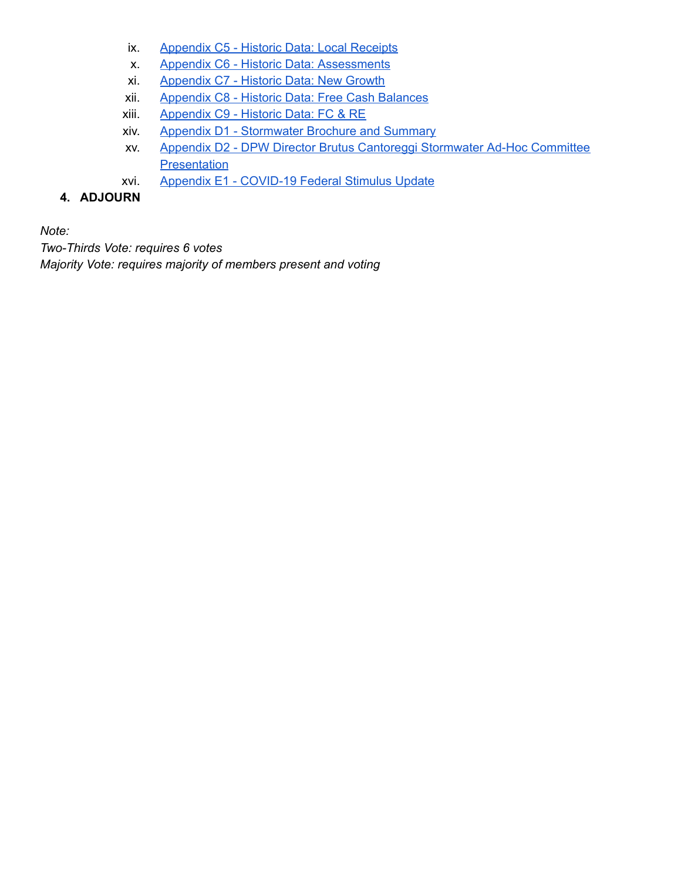- ix. [Appendix](https://www.franklinma.gov/sites/g/files/vyhlif6896/f/uploads/appendix_c5_local_receipts_1.pdf) C5 Historic Data: Local Receipts
- x. Appendix C6 Historic Data: [Assessments](https://www.franklinma.gov/sites/g/files/vyhlif6896/f/uploads/appendix_c6_assessments.pdf)
- xi. [Appendix](https://www.franklinma.gov/sites/g/files/vyhlif6896/f/uploads/appendix_c7_new_growth.pdf) C7 Historic Data: New Growth
- xii. [Appendix](https://www.franklinma.gov/sites/g/files/vyhlif6896/f/uploads/appendix_c8_free_cash_balances.pdf) C8 Historic Data: Free Cash Balances
- xiii. [Appendix](https://www.franklinma.gov/sites/g/files/vyhlif6896/f/uploads/appendix_c9_fc_re.pdf) C9 Historic Data: FC & RE
- xiv. Appendix D1 [Stormwater](https://www.franklinma.gov/sites/g/files/vyhlif6896/f/uploads/franklin_stormwater_mailer_2021.pdf) Brochure and Summary
- xv. Appendix D2 DPW Director Brutus Cantoreggi [Stormwater](https://www.franklinma.gov/sites/g/files/vyhlif6896/f/uploads/_stormwater_council_outreach_2019_2.pdf) Ad-Hoc Committee **[Presentation](https://www.franklinma.gov/sites/g/files/vyhlif6896/f/uploads/_stormwater_council_outreach_2019_2.pdf)**
- xvi. Appendix E1 [COVID-19](https://www.franklinma.gov/town-budget/pages/pandemic-related-stimulus-funds) Federal Stimulus Update

## **4. ADJOURN**

*Note:*

*Two-Thirds Vote: requires 6 votes Majority Vote: requires majority of members present and voting*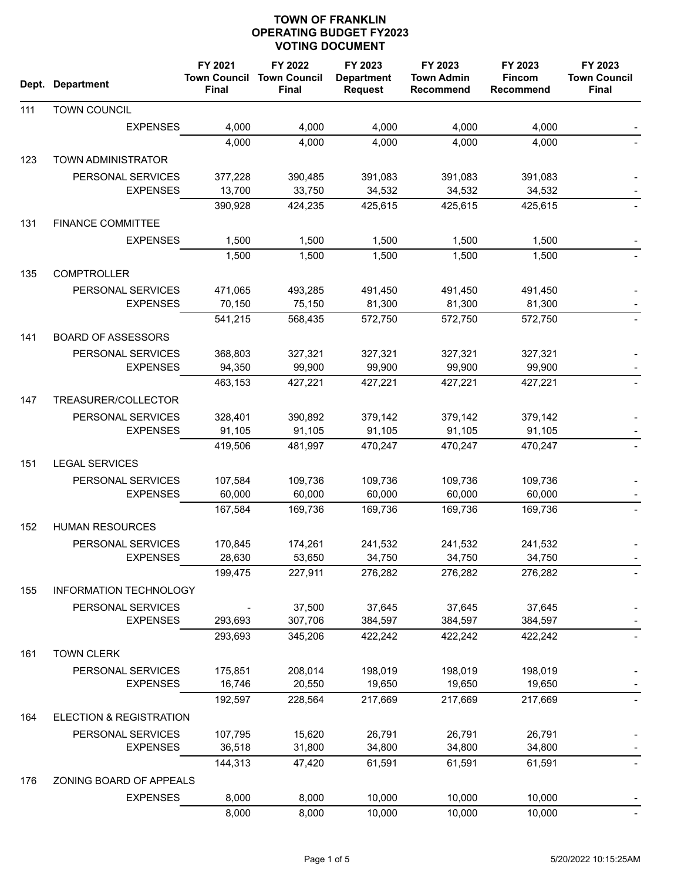|     | Dept. Department                     | FY 2021<br><b>Town Council</b><br><b>Final</b> | FY 2022<br><b>Town Council</b><br><b>Final</b> | FY 2023<br><b>Department</b><br><b>Request</b> | FY 2023<br><b>Town Admin</b><br><b>Recommend</b> | FY 2023<br><b>Fincom</b><br><b>Recommend</b> | FY 2023<br><b>Town Council</b><br><b>Final</b> |
|-----|--------------------------------------|------------------------------------------------|------------------------------------------------|------------------------------------------------|--------------------------------------------------|----------------------------------------------|------------------------------------------------|
| 111 | TOWN COUNCIL                         |                                                |                                                |                                                |                                                  |                                              |                                                |
|     | <b>EXPENSES</b>                      | 4,000                                          | 4,000                                          | 4,000                                          | 4,000                                            | 4,000                                        |                                                |
|     |                                      | 4,000                                          | 4,000                                          | 4,000                                          | 4,000                                            | 4,000                                        |                                                |
| 123 | TOWN ADMINISTRATOR                   |                                                |                                                |                                                |                                                  |                                              |                                                |
|     | PERSONAL SERVICES                    | 377,228                                        | 390,485                                        | 391,083                                        | 391,083                                          | 391,083                                      |                                                |
|     | <b>EXPENSES</b>                      | 13,700                                         | 33,750                                         | 34,532                                         | 34,532                                           | 34,532                                       |                                                |
|     |                                      | 390,928                                        | 424,235                                        | 425,615                                        | 425,615                                          | 425,615                                      |                                                |
| 131 | <b>FINANCE COMMITTEE</b>             |                                                |                                                |                                                |                                                  |                                              |                                                |
|     | <b>EXPENSES</b>                      | 1,500                                          | 1,500                                          | 1,500                                          | 1,500                                            | 1,500                                        |                                                |
|     |                                      | 1,500                                          | 1,500                                          | 1,500                                          | 1,500                                            | 1,500                                        |                                                |
| 135 | <b>COMPTROLLER</b>                   |                                                |                                                |                                                |                                                  |                                              |                                                |
|     | PERSONAL SERVICES                    | 471,065                                        | 493,285                                        | 491,450                                        | 491,450                                          | 491,450                                      |                                                |
|     | <b>EXPENSES</b>                      | 70,150                                         | 75,150                                         | 81,300                                         | 81,300                                           | 81,300                                       |                                                |
|     |                                      | 541,215                                        | 568,435                                        | 572,750                                        | 572,750                                          | 572,750                                      |                                                |
| 141 | <b>BOARD OF ASSESSORS</b>            |                                                |                                                |                                                |                                                  |                                              |                                                |
|     | PERSONAL SERVICES                    | 368,803                                        | 327,321                                        | 327,321                                        | 327,321                                          | 327,321                                      |                                                |
|     | <b>EXPENSES</b>                      | 94,350                                         | 99,900                                         | 99,900                                         | 99,900                                           | 99,900                                       |                                                |
|     |                                      | 463,153                                        | 427,221                                        | 427,221                                        | 427,221                                          | 427,221                                      |                                                |
| 147 | TREASURER/COLLECTOR                  |                                                |                                                |                                                |                                                  |                                              |                                                |
|     | PERSONAL SERVICES                    | 328,401                                        | 390,892                                        | 379,142                                        | 379,142                                          | 379,142                                      |                                                |
|     | <b>EXPENSES</b>                      | 91,105                                         | 91,105                                         | 91,105                                         | 91,105                                           | 91,105                                       |                                                |
|     |                                      | 419,506                                        | 481,997                                        | 470,247                                        | 470,247                                          | 470,247                                      |                                                |
| 151 | <b>LEGAL SERVICES</b>                |                                                |                                                |                                                |                                                  |                                              |                                                |
|     |                                      |                                                |                                                |                                                |                                                  |                                              |                                                |
|     | PERSONAL SERVICES<br><b>EXPENSES</b> | 107,584<br>60,000                              | 109,736<br>60,000                              | 109,736<br>60,000                              | 109,736<br>60,000                                | 109,736<br>60,000                            |                                                |
|     |                                      | 167,584                                        | 169,736                                        | 169,736                                        | 169,736                                          | 169,736                                      |                                                |
|     |                                      |                                                |                                                |                                                |                                                  |                                              |                                                |
| 152 | <b>HUMAN RESOURCES</b>               |                                                |                                                |                                                |                                                  |                                              |                                                |
|     | PERSONAL SERVICES                    | 170,845                                        | 174,261                                        | 241,532                                        | 241,532                                          | 241,532                                      |                                                |
|     | <b>EXPENSES</b>                      | 28,630                                         | 53,650                                         | 34,750                                         | 34,750                                           | 34,750                                       |                                                |
|     |                                      | 199,475                                        | 227,911                                        | 276,282                                        | 276,282                                          | 276,282                                      |                                                |
| 155 | <b>INFORMATION TECHNOLOGY</b>        |                                                |                                                |                                                |                                                  |                                              |                                                |
|     | PERSONAL SERVICES                    |                                                | 37,500                                         | 37,645                                         | 37,645                                           | 37,645                                       |                                                |
|     | <b>EXPENSES</b>                      | 293,693                                        | 307,706                                        | 384,597                                        | 384,597                                          | 384,597                                      |                                                |
|     |                                      | 293,693                                        | 345,206                                        | 422,242                                        | 422,242                                          | 422,242                                      |                                                |
| 161 | <b>TOWN CLERK</b>                    |                                                |                                                |                                                |                                                  |                                              |                                                |
|     | PERSONAL SERVICES                    | 175,851                                        | 208,014                                        | 198,019                                        | 198,019                                          | 198,019                                      |                                                |
|     | <b>EXPENSES</b>                      | 16,746                                         | 20,550                                         | 19,650                                         | 19,650                                           | 19,650                                       |                                                |
|     |                                      | 192,597                                        | 228,564                                        | 217,669                                        | 217,669                                          | 217,669                                      |                                                |
| 164 | ELECTION & REGISTRATION              |                                                |                                                |                                                |                                                  |                                              |                                                |
|     | PERSONAL SERVICES                    | 107,795                                        | 15,620                                         | 26,791                                         | 26,791                                           | 26,791                                       |                                                |
|     | <b>EXPENSES</b>                      | 36,518                                         | 31,800                                         | 34,800                                         | 34,800                                           | 34,800                                       |                                                |
|     |                                      | 144,313                                        | 47,420                                         | 61,591                                         | 61,591                                           | 61,591                                       |                                                |
| 176 | ZONING BOARD OF APPEALS              |                                                |                                                |                                                |                                                  |                                              |                                                |
|     | <b>EXPENSES</b>                      | 8,000                                          | 8,000                                          | 10,000                                         | 10,000                                           | 10,000                                       |                                                |
|     |                                      | 8,000                                          | 8,000                                          | 10,000                                         | 10,000                                           | 10,000                                       |                                                |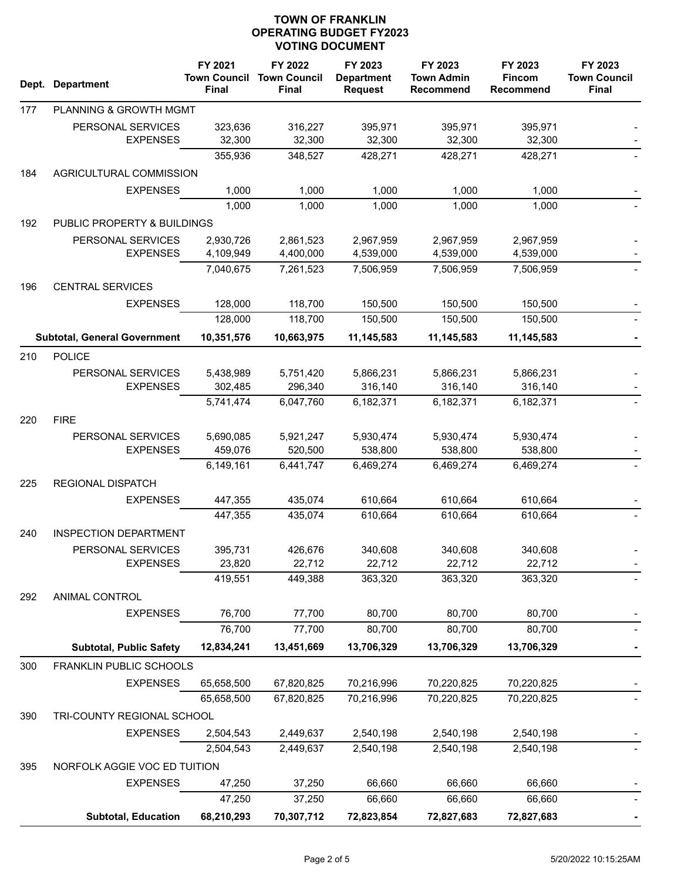|     | Dept. Department                    | FY 2021<br><b>Town Council</b><br><b>Final</b> | FY 2022<br><b>Town Council</b><br><b>Final</b> | FY 2023<br><b>Department</b><br><b>Request</b> | FY 2023<br><b>Town Admin</b><br><b>Recommend</b> | FY 2023<br><b>Fincom</b><br><b>Recommend</b> | FY 2023<br><b>Town Council</b><br>Final |  |
|-----|-------------------------------------|------------------------------------------------|------------------------------------------------|------------------------------------------------|--------------------------------------------------|----------------------------------------------|-----------------------------------------|--|
| 177 | PLANNING & GROWTH MGMT              |                                                |                                                |                                                |                                                  |                                              |                                         |  |
|     | PERSONAL SERVICES                   | 323,636                                        | 316,227                                        | 395,971                                        | 395,971                                          | 395,971                                      |                                         |  |
|     | <b>EXPENSES</b>                     | 32,300                                         | 32,300                                         | 32,300                                         | 32,300                                           | 32,300                                       |                                         |  |
|     |                                     | 355,936                                        | 348,527                                        | 428,271                                        | 428,271                                          | 428,271                                      |                                         |  |
| 184 | AGRICULTURAL COMMISSION             |                                                |                                                |                                                |                                                  |                                              |                                         |  |
|     | <b>EXPENSES</b>                     | 1,000                                          | 1,000                                          | 1,000                                          | 1,000                                            | 1,000                                        |                                         |  |
|     |                                     | 1,000                                          | 1,000                                          | 1,000                                          | 1,000                                            | 1,000                                        |                                         |  |
| 192 | PUBLIC PROPERTY & BUILDINGS         |                                                |                                                |                                                |                                                  |                                              |                                         |  |
|     | PERSONAL SERVICES                   | 2,930,726                                      | 2,861,523                                      | 2,967,959                                      | 2,967,959                                        | 2,967,959                                    |                                         |  |
|     | <b>EXPENSES</b>                     | 4,109,949                                      | 4,400,000                                      | 4,539,000                                      | 4,539,000                                        | 4,539,000                                    |                                         |  |
|     |                                     | 7,040,675                                      | 7,261,523                                      | 7,506,959                                      | 7,506,959                                        | 7,506,959                                    |                                         |  |
| 196 | <b>CENTRAL SERVICES</b>             |                                                |                                                |                                                |                                                  |                                              |                                         |  |
|     | <b>EXPENSES</b>                     | 128,000                                        | 118,700                                        | 150,500                                        | 150,500                                          | 150,500                                      |                                         |  |
|     |                                     | 128,000                                        | 118,700                                        | 150,500                                        | 150,500                                          | 150,500                                      |                                         |  |
|     | <b>Subtotal, General Government</b> | 10,351,576                                     | 10,663,975                                     | 11,145,583                                     | 11,145,583                                       | 11,145,583                                   |                                         |  |
| 210 | <b>POLICE</b>                       |                                                |                                                |                                                |                                                  |                                              |                                         |  |
|     | PERSONAL SERVICES                   | 5,438,989                                      | 5,751,420                                      | 5,866,231                                      | 5,866,231                                        | 5,866,231                                    |                                         |  |
|     | <b>EXPENSES</b>                     | 302,485                                        | 296,340                                        | 316,140                                        | 316,140                                          | 316,140                                      |                                         |  |
|     |                                     | 5,741,474                                      | 6,047,760                                      | 6,182,371                                      | 6,182,371                                        | 6,182,371                                    |                                         |  |
| 220 | <b>FIRE</b>                         |                                                |                                                |                                                |                                                  |                                              |                                         |  |
|     | PERSONAL SERVICES                   | 5,690,085                                      | 5,921,247                                      | 5,930,474                                      | 5,930,474                                        | 5,930,474                                    |                                         |  |
|     | <b>EXPENSES</b>                     | 459,076                                        | 520,500                                        | 538,800                                        | 538,800                                          | 538,800                                      |                                         |  |
|     |                                     | 6,149,161                                      | 6,441,747                                      | 6,469,274                                      | 6,469,274                                        | 6,469,274                                    |                                         |  |
| 225 | <b>REGIONAL DISPATCH</b>            |                                                |                                                |                                                |                                                  |                                              |                                         |  |
|     | <b>EXPENSES</b>                     | 447,355                                        | 435,074                                        | 610,664                                        | 610,664                                          | 610,664                                      |                                         |  |
|     |                                     | 447,355                                        | 435,074                                        | 610,664                                        | 610,664                                          | 610,664                                      |                                         |  |
| 240 | <b>INSPECTION DEPARTMENT</b>        |                                                |                                                |                                                |                                                  |                                              |                                         |  |
|     | PERSONAL SERVICES                   | 395,731                                        | 426,676                                        | 340,608                                        | 340,608                                          | 340,608                                      |                                         |  |
|     | <b>EXPENSES</b>                     | 23,820                                         | 22,712                                         | 22,712                                         | 22,712                                           | 22,712                                       |                                         |  |
|     |                                     | 419,551                                        | 449,388                                        | 363,320                                        | 363,320                                          | 363,320                                      |                                         |  |
| 292 | ANIMAL CONTROL                      |                                                |                                                |                                                |                                                  |                                              |                                         |  |
|     | <b>EXPENSES</b>                     | 76,700                                         | 77,700                                         | 80,700                                         | 80,700                                           | 80,700                                       |                                         |  |
|     |                                     | 76,700                                         | 77,700                                         | 80,700                                         | 80,700                                           | 80,700                                       |                                         |  |
|     | <b>Subtotal, Public Safety</b>      | 12,834,241                                     | 13,451,669                                     | 13,706,329                                     | 13,706,329                                       | 13,706,329                                   |                                         |  |
| 300 | <b>FRANKLIN PUBLIC SCHOOLS</b>      |                                                |                                                |                                                |                                                  |                                              |                                         |  |
|     | <b>EXPENSES</b>                     | 65,658,500                                     | 67,820,825                                     | 70,216,996                                     | 70,220,825                                       | 70,220,825                                   |                                         |  |
|     |                                     | 65,658,500                                     | 67,820,825                                     | 70,216,996                                     | 70,220,825                                       | 70,220,825                                   |                                         |  |
| 390 | TRI-COUNTY REGIONAL SCHOOL          |                                                |                                                |                                                |                                                  |                                              |                                         |  |
|     | <b>EXPENSES</b>                     | 2,504,543                                      | 2,449,637                                      | 2,540,198                                      | 2,540,198                                        | 2,540,198                                    |                                         |  |
|     |                                     | 2,504,543                                      | 2,449,637                                      | 2,540,198                                      | 2,540,198                                        | 2,540,198                                    |                                         |  |
| 395 | NORFOLK AGGIE VOC ED TUITION        |                                                |                                                |                                                |                                                  |                                              |                                         |  |
|     | <b>EXPENSES</b>                     | 47,250                                         | 37,250                                         | 66,660                                         | 66,660                                           | 66,660                                       |                                         |  |
|     |                                     | 47,250                                         | 37,250                                         | 66,660                                         | 66,660                                           | 66,660                                       |                                         |  |
|     | <b>Subtotal, Education</b>          | 68,210,293                                     | 70,307,712                                     | 72,823,854                                     | 72,827,683                                       | 72,827,683                                   |                                         |  |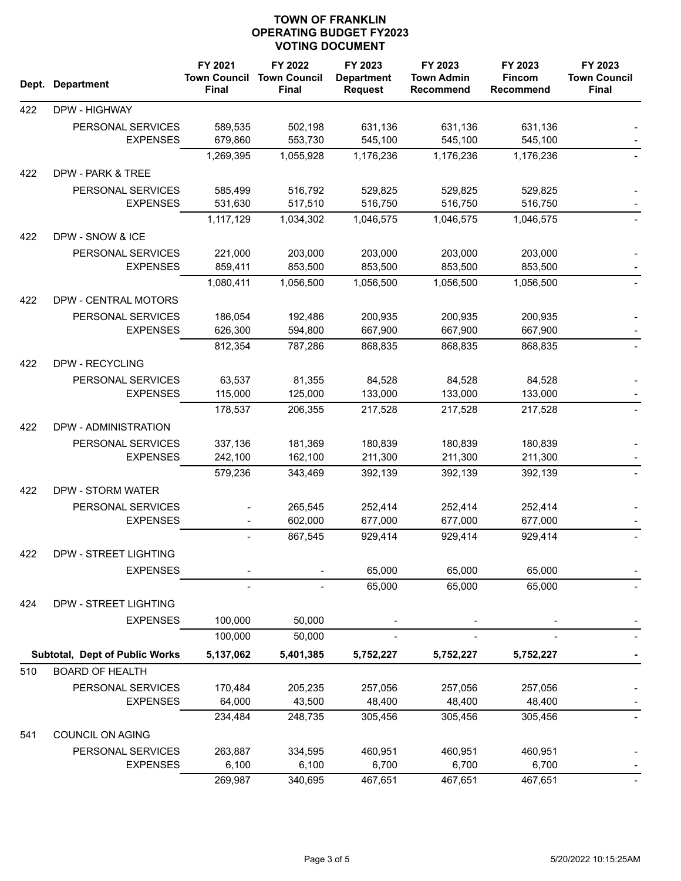| Dept. | <b>Department</b>                    | FY 2021<br><b>Town Council</b><br>Final | FY 2022<br><b>Town Council</b><br><b>Final</b> | FY 2023<br><b>Department</b><br><b>Request</b> | FY 2023<br><b>Town Admin</b><br><b>Recommend</b> | FY 2023<br><b>Fincom</b><br><b>Recommend</b> | FY 2023<br><b>Town Council</b><br><b>Final</b> |
|-------|--------------------------------------|-----------------------------------------|------------------------------------------------|------------------------------------------------|--------------------------------------------------|----------------------------------------------|------------------------------------------------|
| 422   | DPW - HIGHWAY                        |                                         |                                                |                                                |                                                  |                                              |                                                |
|       | PERSONAL SERVICES                    | 589,535                                 | 502,198                                        | 631,136                                        | 631,136                                          | 631,136                                      |                                                |
|       | <b>EXPENSES</b>                      | 679,860                                 | 553,730                                        | 545,100                                        | 545,100                                          | 545,100                                      |                                                |
|       |                                      | 1,269,395                               | 1,055,928                                      | 1,176,236                                      | 1,176,236                                        | 1,176,236                                    |                                                |
| 422   | DPW - PARK & TREE                    |                                         |                                                |                                                |                                                  |                                              |                                                |
|       | PERSONAL SERVICES                    | 585,499                                 | 516,792                                        | 529,825                                        | 529,825                                          | 529,825                                      |                                                |
|       | <b>EXPENSES</b>                      | 531,630                                 | 517,510                                        | 516,750                                        | 516,750                                          | 516,750                                      |                                                |
|       |                                      | 1,117,129                               | 1,034,302                                      | 1,046,575                                      | 1,046,575                                        | 1,046,575                                    |                                                |
| 422   | DPW - SNOW & ICE                     |                                         |                                                |                                                |                                                  |                                              |                                                |
|       | PERSONAL SERVICES                    | 221,000                                 | 203,000                                        | 203,000                                        | 203,000                                          | 203,000                                      |                                                |
|       | <b>EXPENSES</b>                      | 859,411                                 | 853,500                                        | 853,500                                        | 853,500                                          | 853,500                                      |                                                |
|       |                                      | 1,080,411                               | 1,056,500                                      | 1,056,500                                      | 1,056,500                                        | 1,056,500                                    |                                                |
| 422   | DPW - CENTRAL MOTORS                 |                                         |                                                |                                                |                                                  |                                              |                                                |
|       | PERSONAL SERVICES                    | 186,054                                 | 192,486                                        | 200,935                                        | 200,935                                          | 200,935                                      |                                                |
|       | <b>EXPENSES</b>                      | 626,300                                 | 594,800                                        | 667,900                                        | 667,900                                          | 667,900                                      |                                                |
|       |                                      | 812,354                                 | 787,286                                        | 868,835                                        | 868,835                                          | 868,835                                      |                                                |
| 422   | DPW - RECYCLING                      |                                         |                                                |                                                |                                                  |                                              |                                                |
|       | PERSONAL SERVICES                    | 63,537                                  | 81,355                                         | 84,528                                         | 84,528                                           | 84,528                                       |                                                |
|       | <b>EXPENSES</b>                      | 115,000                                 | 125,000                                        | 133,000                                        | 133,000                                          | 133,000                                      |                                                |
|       |                                      | 178,537                                 | 206,355                                        | 217,528                                        | 217,528                                          | 217,528                                      |                                                |
| 422   | DPW - ADMINISTRATION                 |                                         |                                                |                                                |                                                  |                                              |                                                |
|       |                                      |                                         |                                                |                                                |                                                  |                                              |                                                |
|       | PERSONAL SERVICES<br><b>EXPENSES</b> | 337,136<br>242,100                      | 181,369<br>162,100                             | 180,839<br>211,300                             | 180,839<br>211,300                               | 180,839<br>211,300                           |                                                |
|       |                                      | 579,236                                 | 343,469                                        | 392,139                                        | 392,139                                          | 392,139                                      |                                                |
|       |                                      |                                         |                                                |                                                |                                                  |                                              |                                                |
| 422   | DPW - STORM WATER                    |                                         |                                                |                                                |                                                  |                                              |                                                |
|       | PERSONAL SERVICES<br><b>EXPENSES</b> |                                         | 265,545<br>602,000                             | 252,414<br>677,000                             | 252,414<br>677,000                               | 252,414<br>677,000                           |                                                |
|       |                                      |                                         | 867,545                                        | 929,414                                        | 929,414                                          | 929,414                                      |                                                |
|       |                                      |                                         |                                                |                                                |                                                  |                                              |                                                |
| 422   | DPW - STREET LIGHTING                |                                         |                                                |                                                |                                                  |                                              |                                                |
|       | <b>EXPENSES</b>                      |                                         |                                                | 65,000                                         | 65,000                                           | 65,000                                       |                                                |
|       |                                      |                                         |                                                | 65,000                                         | 65,000                                           | 65,000                                       |                                                |
| 424   | DPW - STREET LIGHTING                |                                         |                                                |                                                |                                                  |                                              |                                                |
|       | <b>EXPENSES</b>                      | 100,000                                 | 50,000                                         |                                                |                                                  |                                              |                                                |
|       |                                      | 100,000                                 | 50,000                                         |                                                |                                                  |                                              |                                                |
|       | Subtotal, Dept of Public Works       | 5,137,062                               | 5,401,385                                      | 5,752,227                                      | 5,752,227                                        | 5,752,227                                    |                                                |
| 510   | <b>BOARD OF HEALTH</b>               |                                         |                                                |                                                |                                                  |                                              |                                                |
|       | PERSONAL SERVICES                    | 170,484                                 | 205,235                                        | 257,056                                        | 257,056                                          | 257,056                                      |                                                |
|       | <b>EXPENSES</b>                      | 64,000                                  | 43,500                                         | 48,400                                         | 48,400                                           | 48,400                                       |                                                |
|       |                                      | 234,484                                 | 248,735                                        | 305,456                                        | 305,456                                          | 305,456                                      |                                                |
| 541   | COUNCIL ON AGING                     |                                         |                                                |                                                |                                                  |                                              |                                                |
|       | PERSONAL SERVICES                    | 263,887                                 | 334,595                                        | 460,951                                        | 460,951                                          | 460,951                                      |                                                |
|       | <b>EXPENSES</b>                      | 6,100                                   | 6,100                                          | 6,700                                          | 6,700                                            | 6,700                                        |                                                |
|       |                                      | 269,987                                 | 340,695                                        | 467,651                                        | 467,651                                          | 467,651                                      |                                                |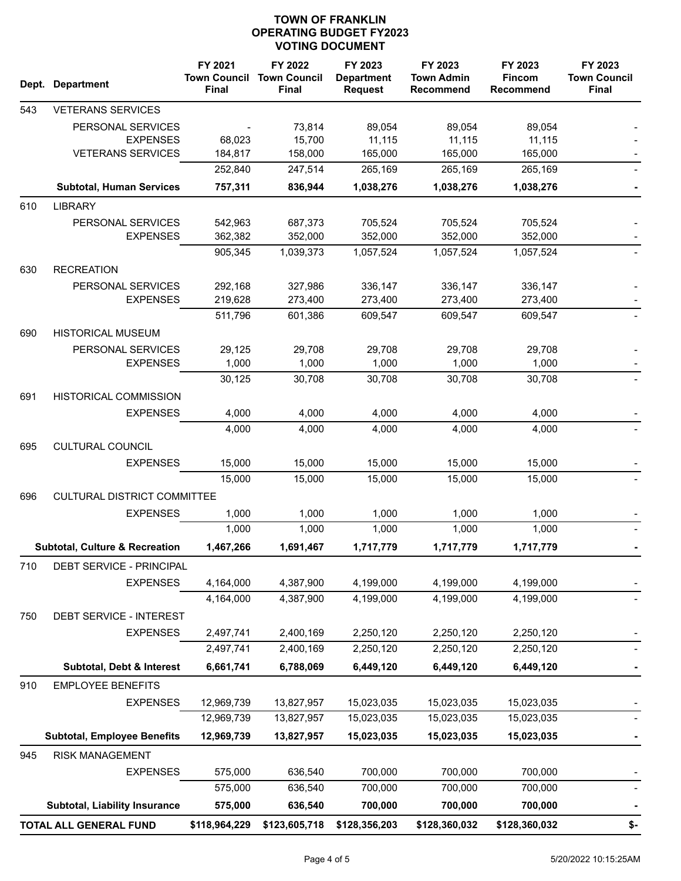| Dept. | <b>Department</b>                         | FY 2021<br><b>Town Council</b><br>Final | FY 2022<br><b>Town Council</b><br><b>Final</b> | FY 2023<br><b>Department</b><br><b>Request</b> | FY 2023<br><b>Town Admin</b><br><b>Recommend</b> | FY 2023<br><b>Fincom</b><br>Recommend | FY 2023<br><b>Town Council</b><br>Final |
|-------|-------------------------------------------|-----------------------------------------|------------------------------------------------|------------------------------------------------|--------------------------------------------------|---------------------------------------|-----------------------------------------|
| 543   | <b>VETERANS SERVICES</b>                  |                                         |                                                |                                                |                                                  |                                       |                                         |
|       | PERSONAL SERVICES                         |                                         | 73,814                                         | 89,054                                         | 89,054                                           | 89,054                                |                                         |
|       | <b>EXPENSES</b>                           | 68,023                                  | 15,700                                         | 11,115                                         | 11,115                                           | 11,115                                |                                         |
|       | <b>VETERANS SERVICES</b>                  | 184,817                                 | 158,000                                        | 165,000                                        | 165,000                                          | 165,000                               |                                         |
|       |                                           | 252,840                                 | 247,514                                        | 265,169                                        | 265,169                                          | 265,169                               |                                         |
|       | <b>Subtotal, Human Services</b>           | 757,311                                 | 836,944                                        | 1,038,276                                      | 1,038,276                                        | 1,038,276                             |                                         |
| 610   | <b>LIBRARY</b>                            |                                         |                                                |                                                |                                                  |                                       |                                         |
|       | PERSONAL SERVICES                         | 542,963                                 | 687,373                                        | 705,524                                        | 705,524                                          | 705,524                               |                                         |
|       | <b>EXPENSES</b>                           | 362,382                                 | 352,000                                        | 352,000                                        | 352,000                                          | 352,000                               |                                         |
|       |                                           | 905,345                                 | 1,039,373                                      | 1,057,524                                      | 1,057,524                                        | 1,057,524                             |                                         |
| 630   | <b>RECREATION</b>                         |                                         |                                                |                                                |                                                  |                                       |                                         |
|       | PERSONAL SERVICES<br><b>EXPENSES</b>      | 292,168<br>219,628                      | 327,986<br>273,400                             | 336,147<br>273,400                             | 336,147<br>273,400                               | 336,147<br>273,400                    |                                         |
|       |                                           | 511,796                                 | 601,386                                        | 609,547                                        | 609,547                                          | 609,547                               |                                         |
| 690   | <b>HISTORICAL MUSEUM</b>                  |                                         |                                                |                                                |                                                  |                                       |                                         |
|       | PERSONAL SERVICES                         | 29,125                                  | 29,708                                         | 29,708                                         | 29,708                                           | 29,708                                |                                         |
|       | <b>EXPENSES</b>                           | 1,000                                   | 1,000                                          | 1,000                                          | 1,000                                            | 1,000                                 |                                         |
|       |                                           | 30,125                                  | 30,708                                         | 30,708                                         | 30,708                                           | 30,708                                |                                         |
| 691   | <b>HISTORICAL COMMISSION</b>              |                                         |                                                |                                                |                                                  |                                       |                                         |
|       | <b>EXPENSES</b>                           | 4,000                                   | 4,000                                          | 4,000                                          | 4,000                                            | 4,000                                 |                                         |
|       |                                           | 4,000                                   | 4,000                                          | 4,000                                          | 4,000                                            | 4,000                                 |                                         |
| 695   | <b>CULTURAL COUNCIL</b>                   |                                         |                                                |                                                |                                                  |                                       |                                         |
|       | <b>EXPENSES</b>                           | 15,000                                  | 15,000                                         | 15,000                                         | 15,000                                           | 15,000                                |                                         |
|       |                                           | 15,000                                  | 15,000                                         | 15,000                                         | 15,000                                           | 15,000                                |                                         |
| 696   | <b>CULTURAL DISTRICT COMMITTEE</b>        |                                         |                                                |                                                |                                                  |                                       |                                         |
|       | <b>EXPENSES</b>                           | 1,000                                   | 1,000                                          | 1,000                                          | 1,000                                            | 1,000                                 |                                         |
|       |                                           | 1,000                                   | 1,000                                          | 1,000                                          | 1,000                                            | 1,000                                 |                                         |
|       | <b>Subtotal, Culture &amp; Recreation</b> | 1,467,266                               | 1,691,467                                      | 1,717,779                                      | 1,717,779                                        | 1,717,779                             |                                         |
| 710   | DEBT SERVICE - PRINCIPAL                  |                                         |                                                |                                                |                                                  |                                       |                                         |
|       | <b>EXPENSES</b>                           | 4,164,000                               | 4,387,900                                      | 4,199,000                                      | 4,199,000                                        | 4,199,000                             |                                         |
|       |                                           | 4,164,000                               | 4,387,900                                      | 4,199,000                                      | 4,199,000                                        | 4,199,000                             |                                         |
| 750   | DEBT SERVICE - INTEREST                   |                                         |                                                |                                                |                                                  |                                       |                                         |
|       | <b>EXPENSES</b>                           | 2,497,741                               | 2,400,169                                      | 2,250,120                                      | 2,250,120                                        | 2,250,120                             |                                         |
|       |                                           | 2,497,741                               | 2,400,169                                      | 2,250,120                                      | 2,250,120                                        | 2,250,120                             |                                         |
|       | Subtotal, Debt & Interest                 | 6,661,741                               | 6,788,069                                      | 6,449,120                                      | 6,449,120                                        | 6,449,120                             |                                         |
| 910   | <b>EMPLOYEE BENEFITS</b>                  |                                         |                                                |                                                |                                                  |                                       |                                         |
|       | <b>EXPENSES</b>                           | 12,969,739                              | 13,827,957                                     | 15,023,035                                     | 15,023,035                                       | 15,023,035                            |                                         |
|       |                                           | 12,969,739                              | 13,827,957                                     | 15,023,035                                     | 15,023,035                                       | 15,023,035                            |                                         |
|       | <b>Subtotal, Employee Benefits</b>        | 12,969,739                              | 13,827,957                                     | 15,023,035                                     | 15,023,035                                       | 15,023,035                            |                                         |
| 945   | RISK MANAGEMENT                           |                                         |                                                |                                                |                                                  |                                       |                                         |
|       | <b>EXPENSES</b>                           | 575,000                                 | 636,540                                        | 700,000                                        | 700,000                                          | 700,000                               |                                         |
|       |                                           | 575,000                                 | 636,540                                        | 700,000                                        | 700,000                                          | 700,000                               |                                         |
|       | Subtotal, Liability Insurance             | 575,000                                 | 636,540                                        | 700,000                                        | 700,000                                          | 700,000                               |                                         |
|       | TOTAL ALL GENERAL FUND                    | \$118,964,229                           | \$123,605,718                                  | \$128,356,203                                  | \$128,360,032                                    | \$128,360,032                         | \$-                                     |